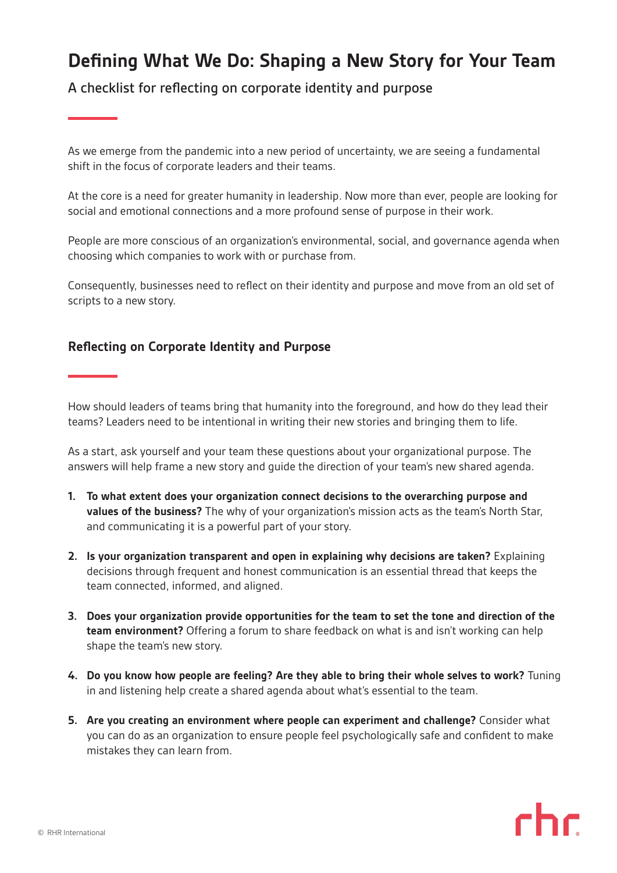## **Defining What We Do: Shaping a New Story for Your Team**

A checklist for reflecting on corporate identity and purpose

As we emerge from the pandemic into a new period of uncertainty, we are seeing a fundamental shift in the focus of corporate leaders and their teams.

At the core is a need for greater humanity in leadership. Now more than ever, people are looking for social and emotional connections and a more profound sense of purpose in their work.

People are more conscious of an organization's environmental, social, and governance agenda when choosing which companies to work with or purchase from.

Consequently, businesses need to reflect on their identity and purpose and move from an old set of scripts to a new story.

## **Reflecting on Corporate Identity and Purpose**

How should leaders of teams bring that humanity into the foreground, and how do they lead their teams? Leaders need to be intentional in writing their new stories and bringing them to life.

As a start, ask yourself and your team these questions about your organizational purpose. The answers will help frame a new story and guide the direction of your team's new shared agenda.

- **1. To what extent does your organization connect decisions to the overarching purpose and values of the business?** The why of your organization's mission acts as the team's North Star, and communicating it is a powerful part of your story.
- **2.** Is your organization transparent and open in explaining why decisions are taken? Explaining decisions through frequent and honest communication is an essential thread that keeps the team connected, informed, and aligned.
- **3. Does your organization provide opportunities for the team to set the tone and direction of the team environment?** Offering a forum to share feedback on what is and isn't working can help shape the team's new story.
- **4. Do you know how people are feeling? Are they able to bring their whole selves to work?** Tuning in and listening help create a shared agenda about what's essential to the team.
- **5. Are you creating an environment where people can experiment and challenge?** Consider what you can do as an organization to ensure people feel psychologically safe and confident to make mistakes they can learn from.